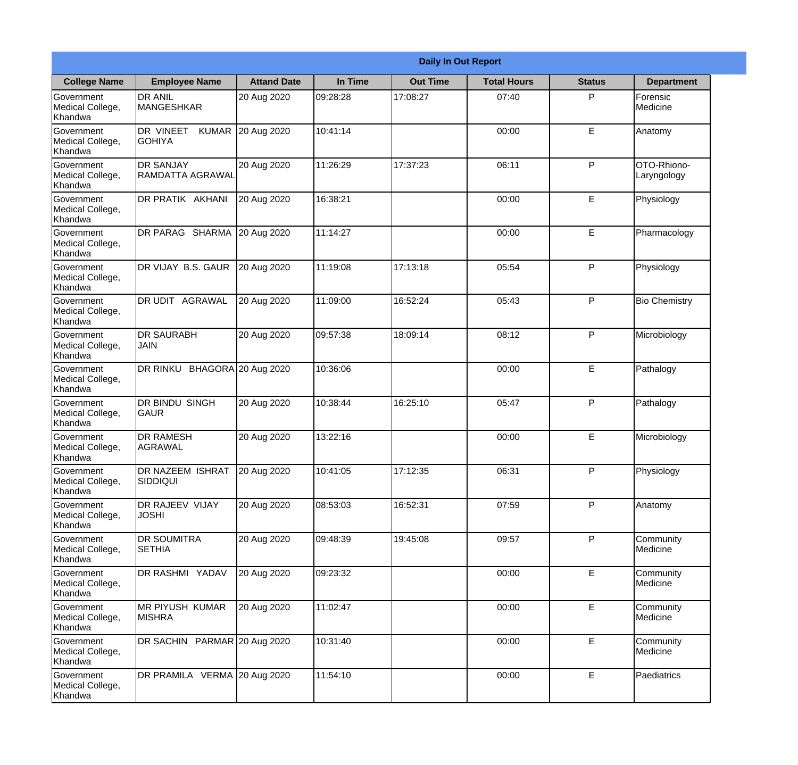|                                                  |                                              |                    |          | <b>Daily In Out Report</b> |                    |               |                            |
|--------------------------------------------------|----------------------------------------------|--------------------|----------|----------------------------|--------------------|---------------|----------------------------|
| <b>College Name</b>                              | <b>Employee Name</b>                         | <b>Attand Date</b> | In Time  | <b>Out Time</b>            | <b>Total Hours</b> | <b>Status</b> | <b>Department</b>          |
| Government<br>Medical College,<br>Khandwa        | <b>DR ANIL</b><br><b>MANGESHKAR</b>          | 20 Aug 2020        | 09:28:28 | 17:08:27                   | 07:40              | P             | Forensic<br>Medicine       |
| Government<br>Medical College,<br>Khandwa        | DR VINEET<br><b>KUMAR</b><br><b>I</b> GOHIYA | 20 Aug 2020        | 10:41:14 |                            | 00:00              | E             | Anatomy                    |
| <b>Government</b><br>Medical College,<br>Khandwa | <b>DR SANJAY</b><br>RAMDATTA AGRAWAL         | 20 Aug 2020        | 11:26:29 | 17:37:23                   | 06:11              | P             | OTO-Rhiono-<br>Laryngology |
| <b>Government</b><br>Medical College,<br>Khandwa | DR PRATIK AKHANI                             | 20 Aug 2020        | 16:38:21 |                            | 00:00              | E             | Physiology                 |
| Government<br>Medical College,<br>Khandwa        | DR PARAG SHARMA                              | 20 Aug 2020        | 11:14:27 |                            | 00:00              | E             | Pharmacology               |
| Government<br>Medical College,<br>Khandwa        | DR VIJAY B.S. GAUR                           | 20 Aug 2020        | 11:19:08 | 17:13:18                   | 05:54              | P             | Physiology                 |
| <b>Government</b><br>Medical College,<br>Khandwa | <b>DR UDIT AGRAWAL</b>                       | 20 Aug 2020        | 11:09:00 | 16:52:24                   | 05:43              | P             | <b>Bio Chemistry</b>       |
| <b>Government</b><br>Medical College,<br>Khandwa | <b>DR SAURABH</b><br><b>JAIN</b>             | 20 Aug 2020        | 09:57:38 | 18:09:14                   | 08:12              | P             | Microbiology               |
| Government<br>Medical College,<br>Khandwa        | DR RINKU BHAGORA 20 Aug 2020                 |                    | 10:36:06 |                            | 00:00              | E             | Pathalogy                  |
| Government<br>Medical College,<br>Khandwa        | <b>DR BINDU SINGH</b><br> GAUR               | 20 Aug 2020        | 10:38:44 | 16:25:10                   | 05:47              | P             | Pathalogy                  |
| Government<br>Medical College,<br>Khandwa        | <b>DR RAMESH</b><br>AGRAWAL                  | 20 Aug 2020        | 13:22:16 |                            | 00:00              | E             | Microbiology               |
| Government<br>Medical College,<br>Khandwa        | <b>DR NAZEEM ISHRAT</b><br><b>SIDDIQUI</b>   | 20 Aug 2020        | 10:41:05 | 17:12:35                   | 06:31              | P.            | Physiology                 |
| Government<br>Medical College,<br>Khandwa        | DR RAJEEV VIJAY<br><b>JOSHI</b>              | 20 Aug 2020        | 08:53:03 | 16:52:31                   | 07:59              | P             | Anatomy                    |
| Government<br>Medical College,<br>Khandwa        | <b>DR SOUMITRA</b><br><b>SETHIA</b>          | 20 Aug 2020        | 09:48:39 | 19:45:08                   | 09:57              | P             | Community<br>Medicine      |
| Government<br>Medical College,<br>Khandwa        | DR RASHMI YADAV                              | 20 Aug 2020        | 09:23:32 |                            | 00:00              | E             | Community<br>Medicine      |
| Government<br>Medical College,<br>Khandwa        | MR PIYUSH KUMAR<br><b>MISHRA</b>             | 20 Aug 2020        | 11:02:47 |                            | 00:00              | E             | Community<br>Medicine      |
| Government<br>Medical College,<br>Khandwa        | DR SACHIN PARMAR 20 Aug 2020                 |                    | 10:31:40 |                            | 00:00              | E             | Community<br>Medicine      |
| Government<br>Medical College,<br>Khandwa        | DR PRAMILA VERMA 20 Aug 2020                 |                    | 11:54:10 |                            | 00:00              | $\mathsf E$   | Paediatrics                |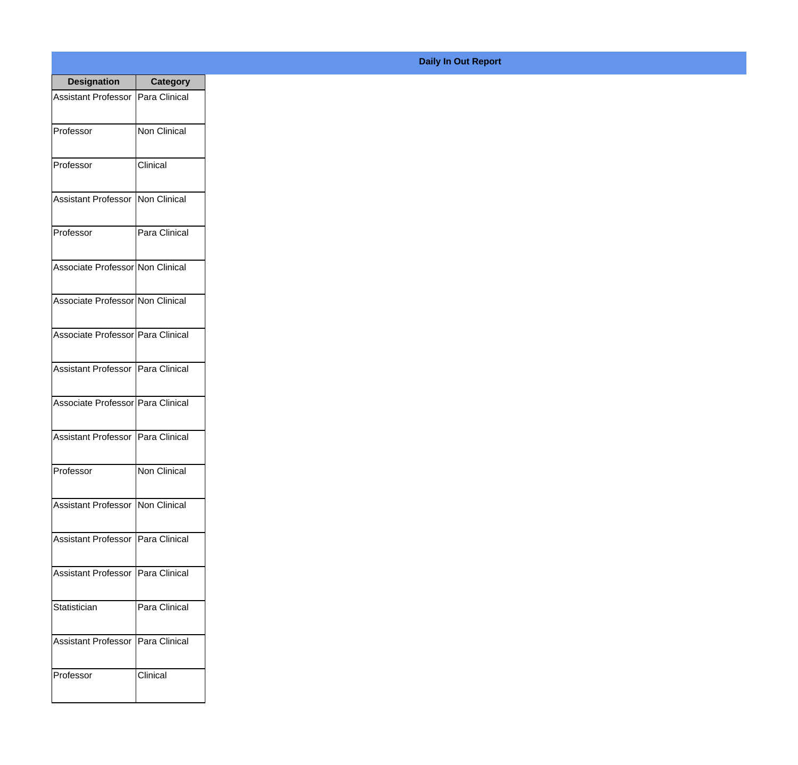| <b>Designation</b>                  | <b>Category</b>     |
|-------------------------------------|---------------------|
| Assistant Professor   Para Clinical |                     |
| Professor                           | <b>Non Clinical</b> |
| Professor                           | Clinical            |
| <b>Assistant Professor</b>          | Non Clinical        |
| Professor                           | Para Clinical       |
| Associate Professor Non Clinical    |                     |
| Associate Professor Non Clinical    |                     |
| Associate Professor Para Clinical   |                     |
| Assistant Professor   Para Clinical |                     |
| Associate Professor   Para Clinical |                     |
| <b>Assistant Professor</b>          | Para Clinical       |
| Professor                           | Non Clinical        |
| <b>Assistant Professor</b>          | <b>Non Clinical</b> |
| <b>Assistant Professor</b>          | Para Clinical       |
| <b>Assistant Professor</b>          | Para Clinical       |
| Statistician                        | Para Clinical       |
| <b>Assistant Professor</b>          | Para Clinical       |
| Professor                           | Clinical            |

## **Daily In Out Report**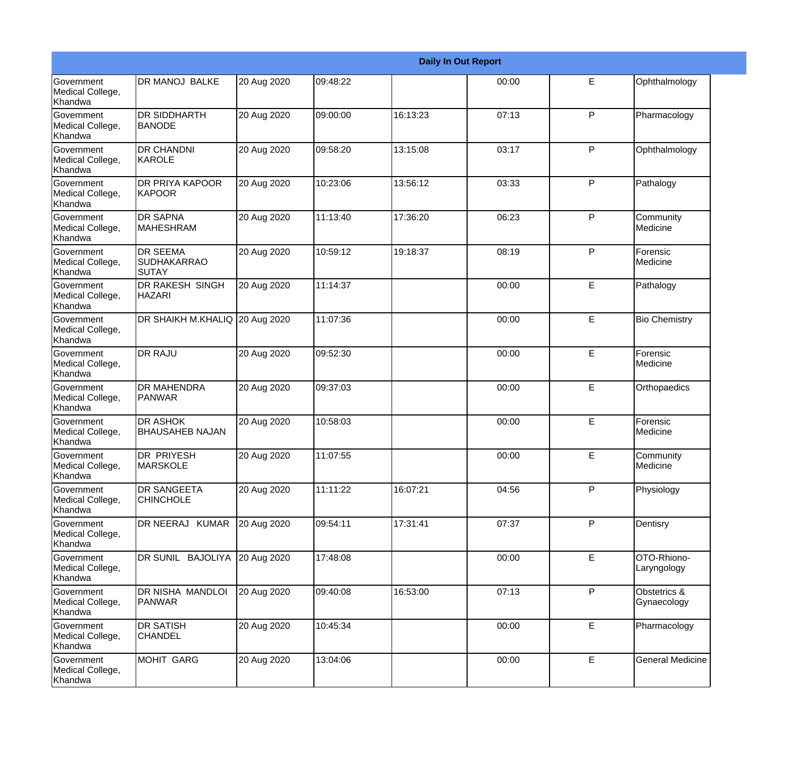|                                                  |                                                       |             |          |          | <b>Daily In Out Report</b> |   |                             |
|--------------------------------------------------|-------------------------------------------------------|-------------|----------|----------|----------------------------|---|-----------------------------|
| Government<br>Medical College,<br>Khandwa        | <b>DR MANOJ BALKE</b>                                 | 20 Aug 2020 | 09:48:22 |          | 00:00                      | E | Ophthalmology               |
| Government<br>Medical College,<br>Khandwa        | <b>DR SIDDHARTH</b><br><b>BANODE</b>                  | 20 Aug 2020 | 09:00:00 | 16:13:23 | 07:13                      | P | Pharmacology                |
| Government<br>Medical College,<br>Khandwa        | <b>DR CHANDNI</b><br>KAROLE                           | 20 Aug 2020 | 09:58:20 | 13:15:08 | 03:17                      | P | Ophthalmology               |
| Government<br>Medical College,<br>Khandwa        | <b>DR PRIYA KAPOOR</b><br>KAPOOR                      | 20 Aug 2020 | 10:23:06 | 13:56:12 | 03:33                      | P | Pathalogy                   |
| Government<br>Medical College,<br>Khandwa        | <b>DR SAPNA</b><br><b>MAHESHRAM</b>                   | 20 Aug 2020 | 11:13:40 | 17:36:20 | 06:23                      | P | Community<br>Medicine       |
| Government<br>Medical College,<br>Khandwa        | <b>DR SEEMA</b><br><b>SUDHAKARRAO</b><br><b>SUTAY</b> | 20 Aug 2020 | 10:59:12 | 19:18:37 | 08:19                      | P | Forensic<br><b>Medicine</b> |
| Government<br>Medical College,<br>Khandwa        | <b>DR RAKESH SINGH</b><br><b>HAZARI</b>               | 20 Aug 2020 | 11:14:37 |          | 00:00                      | E | Pathalogy                   |
| Government<br>Medical College,<br>Khandwa        | DR SHAIKH M.KHALIQ 20 Aug 2020                        |             | 11:07:36 |          | 00:00                      | E | <b>Bio Chemistry</b>        |
| <b>Government</b><br>Medical College,<br>Khandwa | <b>DR RAJU</b>                                        | 20 Aug 2020 | 09:52:30 |          | 00:00                      | E | Forensic<br>Medicine        |
| Government<br>Medical College,<br>Khandwa        | <b>DR MAHENDRA</b><br><b>PANWAR</b>                   | 20 Aug 2020 | 09:37:03 |          | 00:00                      | E | Orthopaedics                |
| <b>Government</b><br>Medical College,<br>Khandwa | <b>DR ASHOK</b><br><b>BHAUSAHEB NAJAN</b>             | 20 Aug 2020 | 10:58:03 |          | 00:00                      | E | Forensic<br><b>Medicine</b> |
| Government<br>Medical College,<br>Khandwa        | <b>DR PRIYESH</b><br><b>MARSKOLE</b>                  | 20 Aug 2020 | 11:07:55 |          | 00:00                      | E | Community<br>Medicine       |
| Government<br>Medical College,<br>Khandwa        | <b>DR SANGEETA</b><br><b>CHINCHOLE</b>                | 20 Aug 2020 | 11:11:22 | 16:07:21 | 04:56                      | P | Physiology                  |
| Government<br>Medical College,<br>Khandwa        | DR NEERAJ KUMAR                                       | 20 Aug 2020 | 09:54:11 | 17:31:41 | 07:37                      | P | Dentisry                    |
| Government<br>Medical College,<br>Khandwa        | DR SUNIL BAJOLIYA 20 Aug 2020                         |             | 17:48:08 |          | 00:00                      | E | OTO-Rhiono-<br>Laryngology  |
| Government<br>Medical College,<br>Khandwa        | DR NISHA MANDLOI<br>PANWAR                            | 20 Aug 2020 | 09:40:08 | 16:53:00 | 07:13                      | P | Obstetrics &<br>Gynaecology |
| Government<br>Medical College,<br>Khandwa        | <b>DR SATISH</b><br><b>CHANDEL</b>                    | 20 Aug 2020 | 10:45:34 |          | 00:00                      | E | Pharmacology                |
| Government<br>Medical College,<br>Khandwa        | <b>MOHIT GARG</b>                                     | 20 Aug 2020 | 13:04:06 |          | 00:00                      | E | <b>General Medicine</b>     |